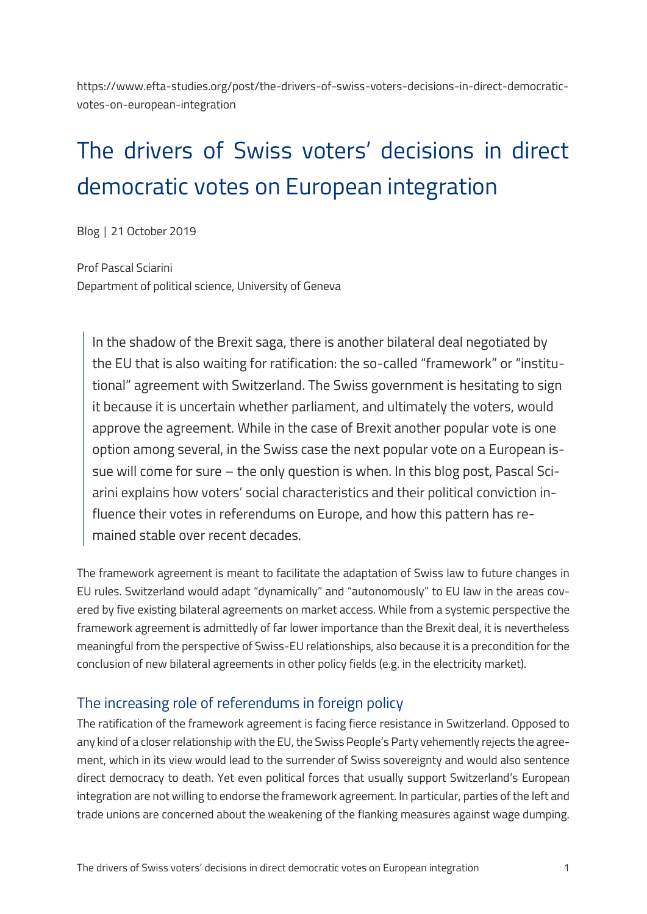https://www.efta-studies.org/post/the-drivers-of-swiss-voters-decisions-in-direct-democraticvotes-on-european-integration

# The drivers of Swiss voters' decisions in direct democratic votes on European integration

Blog │ 21 October 2019

Prof Pascal Sciarini Department of political science, University of Geneva

In the shadow of the Brexit saga, there is another bilateral deal negotiated by the EU that is also waiting for ratification: the so-called "framework" or "institutional" agreement with Switzerland. The Swiss government is hesitating to sign it because it is uncertain whether parliament, and ultimately the voters, would approve the agreement. While in the case of Brexit another popular vote is one option among several, in the Swiss case the next popular vote on a European issue will come for sure – the only question is when. In this blog post, Pascal Sciarini explains how voters' social characteristics and their political conviction influence their votes in referendums on Europe, and how this pattern has remained stable over recent decades.

The framework agreement is meant to facilitate the adaptation of Swiss law to future changes in EU rules. Switzerland would adapt "dynamically" and "autonomously" to EU law in the areas covered by five existing bilateral agreements on market access. While from a systemic perspective the framework agreement is admittedly of far lower importance than the Brexit deal, it is nevertheless meaningful from the perspective of Swiss-EU relationships, also because it is a precondition for the conclusion of new bilateral agreements in other policy fields (e.g. in the electricity market).

# The increasing role of referendums in foreign policy

The ratification of the framework agreement is facing fierce resistance in Switzerland. Opposed to any kind of a closer relationship with the EU, the Swiss People's Party vehemently rejects the agreement, which in its view would lead to the surrender of Swiss sovereignty and would also sentence direct democracy to death. Yet even political forces that usually support Switzerland's European integration are not willing to endorse the framework agreement. In particular, parties of the left and trade unions are concerned about the weakening of the flanking measures against wage dumping.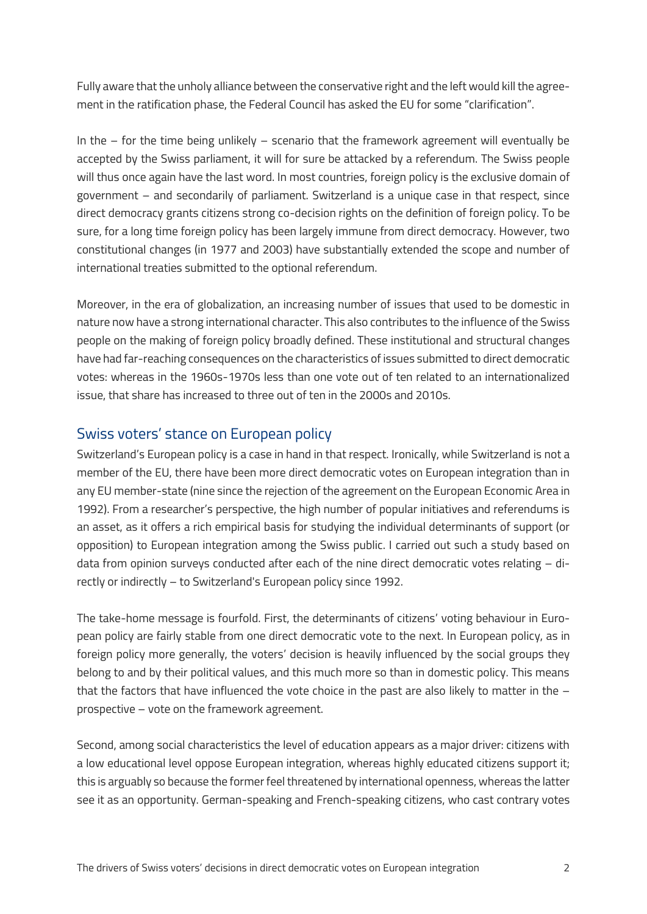Fully aware that the unholy alliance between the conservative right and the left would kill the agreement in the ratification phase, the Federal Council has asked the EU for some "clarification".

In the – for the time being unlikely – scenario that the framework agreement will eventually be accepted by the Swiss parliament, it will for sure be attacked by a referendum. The Swiss people will thus once again have the last word. In most countries, foreign policy is the exclusive domain of government – and secondarily of parliament. Switzerland is a unique case in that respect, since direct democracy grants citizens strong co-decision rights on the definition of foreign policy. To be sure, for a long time foreign policy has been largely immune from direct democracy. However, two constitutional changes (in 1977 and 2003) have substantially extended the scope and number of international treaties submitted to the optional referendum.

Moreover, in the era of globalization, an increasing number of issues that used to be domestic in nature now have a strong international character. This also contributes to the influence of the Swiss people on the making of foreign policy broadly defined. These institutional and structural changes have had far-reaching consequences on the characteristics of issues submitted to direct democratic votes: whereas in the 1960s-1970s less than one vote out of ten related to an internationalized issue, that share has increased to three out of ten in the 2000s and 2010s.

## Swiss voters' stance on European policy

Switzerland's European policy is a case in hand in that respect. Ironically, while Switzerland is not a member of the EU, there have been more direct democratic votes on European integration than in any EU member-state (nine since the rejection of the agreement on the European Economic Area in 1992). From a researcher's perspective, the high number of popular initiatives and referendums is an asset, as it offers a rich empirical basis for studying the individual determinants of support (or opposition) to European integration among the Swiss public. I carried out such a study based on data from opinion surveys conducted after each of the nine direct democratic votes relating – directly or indirectly – to Switzerland's European policy since 1992.

The take-home message is fourfold. First, the determinants of citizens' voting behaviour in European policy are fairly stable from one direct democratic vote to the next. In European policy, as in foreign policy more generally, the voters' decision is heavily influenced by the social groups they belong to and by their political values, and this much more so than in domestic policy. This means that the factors that have influenced the vote choice in the past are also likely to matter in the  $$ prospective – vote on the framework agreement.

Second, among social characteristics the level of education appears as a major driver: citizens with a low educational level oppose European integration, whereas highly educated citizens support it; this is arguably so because the former feel threatened by international openness, whereas the latter see it as an opportunity. German-speaking and French-speaking citizens, who cast contrary votes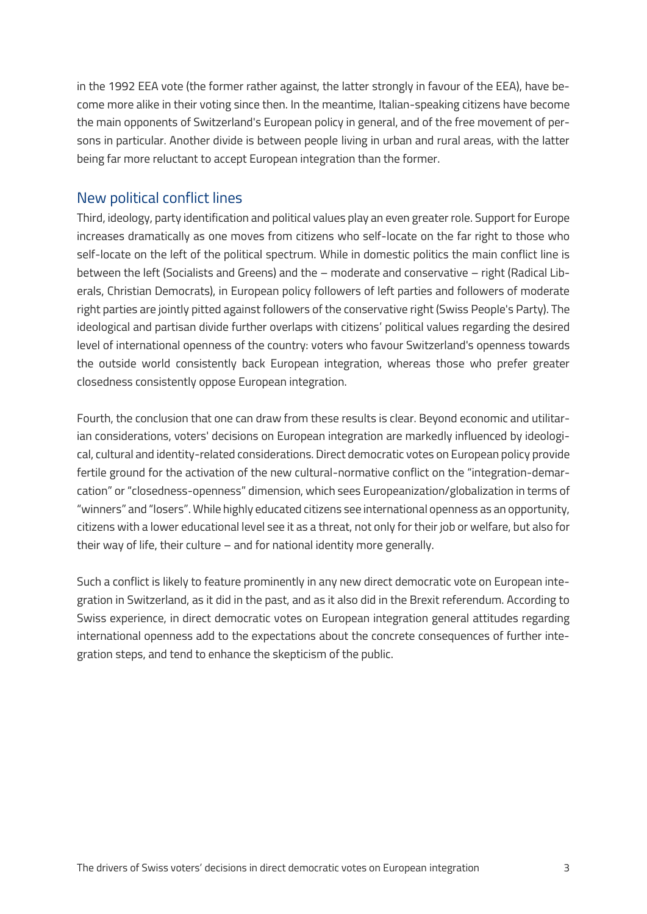in the 1992 EEA vote (the former rather against, the latter strongly in favour of the EEA), have become more alike in their voting since then. In the meantime, Italian-speaking citizens have become the main opponents of Switzerland's European policy in general, and of the free movement of persons in particular. Another divide is between people living in urban and rural areas, with the latter being far more reluctant to accept European integration than the former.

# New political conflict lines

Third, ideology, party identification and political values play an even greater role. Support for Europe increases dramatically as one moves from citizens who self-locate on the far right to those who self-locate on the left of the political spectrum. While in domestic politics the main conflict line is between the left (Socialists and Greens) and the – moderate and conservative – right (Radical Liberals, Christian Democrats), in European policy followers of left parties and followers of moderate right parties are jointly pitted against followers of the conservative right (Swiss People's Party). The ideological and partisan divide further overlaps with citizens' political values regarding the desired level of international openness of the country: voters who favour Switzerland's openness towards the outside world consistently back European integration, whereas those who prefer greater closedness consistently oppose European integration.

Fourth, the conclusion that one can draw from these results is clear. Beyond economic and utilitarian considerations, voters' decisions on European integration are markedly influenced by ideological, cultural and identity-related considerations. Direct democratic votes on European policy provide fertile ground for the activation of the new cultural-normative conflict on the "integration-demarcation" or "closedness-openness" dimension, which sees Europeanization/globalization in terms of "winners" and "losers". While highly educated citizens see international openness as an opportunity, citizens with a lower educational level see it as a threat, not only for their job or welfare, but also for their way of life, their culture – and for national identity more generally.

Such a conflict is likely to feature prominently in any new direct democratic vote on European integration in Switzerland, as it did in the past, and as it also did in the Brexit referendum. According to Swiss experience, in direct democratic votes on European integration general attitudes regarding international openness add to the expectations about the concrete consequences of further integration steps, and tend to enhance the skepticism of the public.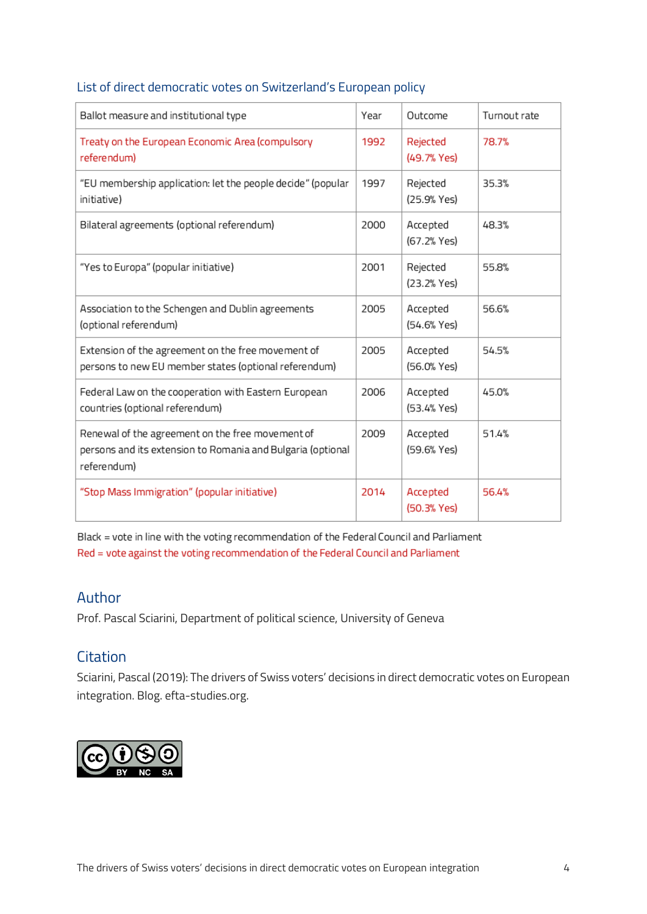| Ballot measure and institutional type                                                                                          | Year | Outcome                 | Turnout rate |
|--------------------------------------------------------------------------------------------------------------------------------|------|-------------------------|--------------|
| Treaty on the European Economic Area (compulsory<br>referendum)                                                                | 1992 | Rejected<br>(49.7% Yes) | 78.7%        |
| "EU membership application: let the people decide" (popular<br>initiative)                                                     | 1997 | Rejected<br>(25.9% Yes) | 35.3%        |
| Bilateral agreements (optional referendum)                                                                                     | 2000 | Accepted<br>(67.2% Yes) | 48.3%        |
| "Yes to Europa" (popular initiative)                                                                                           | 2001 | Rejected<br>(23.2% Yes) | 55.8%        |
| Association to the Schengen and Dublin agreements<br>(optional referendum)                                                     | 2005 | Accepted<br>(54.6% Yes) | 56.6%        |
| Extension of the agreement on the free movement of<br>persons to new EU member states (optional referendum)                    | 2005 | Accepted<br>(56.0% Yes) | 54.5%        |
| Federal Law on the cooperation with Eastern European<br>countries (optional referendum)                                        | 2006 | Accepted<br>(53.4% Yes) | 45.0%        |
| Renewal of the agreement on the free movement of<br>persons and its extension to Romania and Bulgaria (optional<br>referendum) | 2009 | Accepted<br>(59.6% Yes) | 51.4%        |
| "Stop Mass Immigration" (popular initiative)                                                                                   | 2014 | Accepted<br>(50.3% Yes) | 56.4%        |

#### List of direct democratic votes on Switzerland's European policy

Black = vote in line with the voting recommendation of the Federal Council and Parliament Red = vote against the voting recommendation of the Federal Council and Parliament

#### Author

Prof. Pascal Sciarini, Department of political science, University of Geneva

## **Citation**

Sciarini, Pascal (2019): The drivers of Swiss voters' decisions in direct democratic votes on European integration. Blog. efta-studies.org.